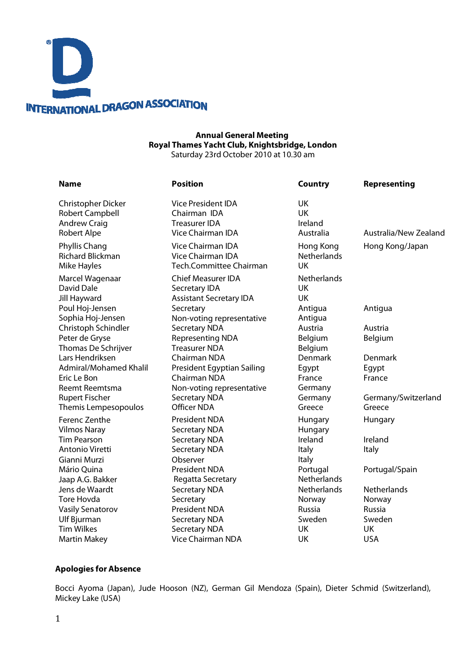

### **Annual General Meeting Royal Thames Yacht Club, Knightsbridge, London** Saturday 23rd October 2010 at 10.30 am

| <b>Name</b>                                                            | <b>Position</b>                                                         | <b>Country</b>                | Representing                  |  |
|------------------------------------------------------------------------|-------------------------------------------------------------------------|-------------------------------|-------------------------------|--|
| Christopher Dicker                                                     | Vice President IDA                                                      | <b>UK</b>                     | Australia/New Zealand         |  |
| <b>Robert Campbell</b>                                                 | Chairman IDA                                                            | <b>UK</b>                     |                               |  |
| <b>Andrew Craig</b>                                                    | <b>Treasurer IDA</b>                                                    | Ireland                       |                               |  |
| <b>Robert Alpe</b>                                                     | Vice Chairman IDA                                                       | Australia                     |                               |  |
| Phyllis Chang                                                          | Vice Chairman IDA                                                       | Hong Kong                     | Hong Kong/Japan               |  |
| <b>Richard Blickman</b>                                                | <b>Vice Chairman IDA</b>                                                | <b>Netherlands</b>            |                               |  |
| <b>Mike Hayles</b>                                                     | Tech.Committee Chairman                                                 | <b>UK</b>                     |                               |  |
| Marcel Wagenaar                                                        | <b>Chief Measurer IDA</b>                                               | <b>Netherlands</b>            |                               |  |
| David Dale                                                             | Secretary IDA                                                           | UK                            |                               |  |
| <b>Jill Hayward</b>                                                    | <b>Assistant Secretary IDA</b>                                          | <b>UK</b>                     |                               |  |
| Poul Hoj-Jensen                                                        | Secretary                                                               | Antigua                       | Antigua                       |  |
| Sophia Hoj-Jensen                                                      | Non-voting representative                                               | Antigua                       |                               |  |
| Christoph Schindler<br>Peter de Gryse<br>Thomas De Schrijver           | <b>Secretary NDA</b><br><b>Representing NDA</b><br><b>Treasurer NDA</b> | Austria<br>Belgium<br>Belgium | Austria<br>Belgium            |  |
| Lars Hendriksen                                                        | Chairman NDA                                                            | Denmark                       | Denmark                       |  |
| Admiral/Mohamed Khalil                                                 | President Egyptian Sailing                                              | Egypt                         | Egypt                         |  |
| Eric Le Bon                                                            | Chairman NDA                                                            | France                        | France                        |  |
| <b>Reemt Reemtsma</b><br><b>Rupert Fischer</b><br>Themis Lempesopoulos | Non-voting representative<br><b>Secretary NDA</b><br><b>Officer NDA</b> | Germany<br>Germany<br>Greece  | Germany/Switzerland<br>Greece |  |
| Ferenc Zenthe                                                          | <b>President NDA</b>                                                    | Hungary                       | Hungary                       |  |
| <b>Vilmos Naray</b>                                                    | <b>Secretary NDA</b>                                                    | Hungary                       |                               |  |
| <b>Tim Pearson</b><br>Antonio Viretti<br>Gianni Murzi                  | <b>Secretary NDA</b><br><b>Secretary NDA</b><br>Observer                | Ireland<br>Italy<br>Italy     | Ireland<br>Italy              |  |
| Mário Quina                                                            | <b>President NDA</b>                                                    | Portugal                      | Portugal/Spain                |  |
| Jaap A.G. Bakker                                                       | Regatta Secretary                                                       | <b>Netherlands</b>            |                               |  |
| Jens de Waardt                                                         | <b>Secretary NDA</b>                                                    | Netherlands                   | <b>Netherlands</b>            |  |
| <b>Tore Hovda</b>                                                      | Secretary                                                               | Norway                        | Norway                        |  |
| <b>Vasily Senatorov</b>                                                | <b>President NDA</b>                                                    | <b>Russia</b>                 | <b>Russia</b>                 |  |
| Ulf Bjurman                                                            | <b>Secretary NDA</b>                                                    | Sweden                        | Sweden                        |  |
| <b>Tim Wilkes</b>                                                      | <b>Secretary NDA</b>                                                    | UK                            | <b>UK</b>                     |  |
| <b>Martin Makey</b>                                                    | <b>Vice Chairman NDA</b>                                                | UK                            | <b>USA</b>                    |  |

### **Apologies for Absence**

Bocci Ayoma (Japan), Jude Hooson (NZ), German Gil Mendoza (Spain), Dieter Schmid (Switzerland), Mickey Lake (USA)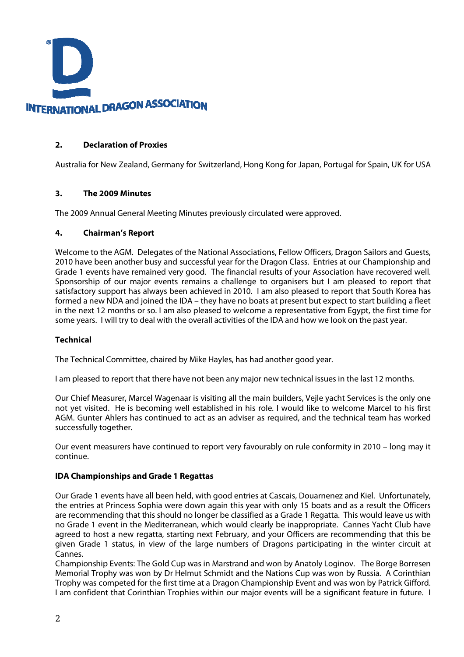

## **2. Declaration of Proxies**

Australia for New Zealand, Germany for Switzerland, Hong Kong for Japan, Portugal for Spain, UK for USA

### **3. The 2009 Minutes**

The 2009 Annual General Meeting Minutes previously circulated were approved.

### **4. Chairman's Report**

Welcome to the AGM. Delegates of the National Associations, Fellow Officers, Dragon Sailors and Guests, 2010 have been another busy and successful year for the Dragon Class. Entries at our Championship and Grade 1 events have remained very good. The financial results of your Association have recovered well. Sponsorship of our major events remains a challenge to organisers but I am pleased to report that satisfactory support has always been achieved in 2010. I am also pleased to report that South Korea has formed a new NDA and joined the IDA – they have no boats at present but expect to start building a fleet in the next 12 months or so. I am also pleased to welcome a representative from Egypt, the first time for some years. I will try to deal with the overall activities of the IDA and how we look on the past year.

# **Technical**

The Technical Committee, chaired by Mike Hayles, has had another good year.

I am pleased to report that there have not been any major new technical issues in the last 12 months.

Our Chief Measurer, Marcel Wagenaar is visiting all the main builders, Vejle yacht Services is the only one not yet visited. He is becoming well established in his role. I would like to welcome Marcel to his first AGM. Gunter Ahlers has continued to act as an adviser as required, and the technical team has worked successfully together.

Our event measurers have continued to report very favourably on rule conformity in 2010 – long may it continue.

### **IDA Championships and Grade 1 Regattas**

Our Grade 1 events have all been held, with good entries at Cascais, Douarnenez and Kiel. Unfortunately, the entries at Princess Sophia were down again this year with only 15 boats and as a result the Officers are recommending that this should no longer be classified as a Grade 1 Regatta. This would leave us with no Grade 1 event in the Mediterranean, which would clearly be inappropriate. Cannes Yacht Club have agreed to host a new regatta, starting next February, and your Officers are recommending that this be given Grade 1 status, in view of the large numbers of Dragons participating in the winter circuit at Cannes.

Championship Events: The Gold Cup was in Marstrand and won by Anatoly Loginov. The Borge Borresen Memorial Trophy was won by Dr Helmut Schmidt and the Nations Cup was won by Russia. A Corinthian Trophy was competed for the first time at a Dragon Championship Event and was won by Patrick Gifford. I am confident that Corinthian Trophies within our major events will be a significant feature in future. I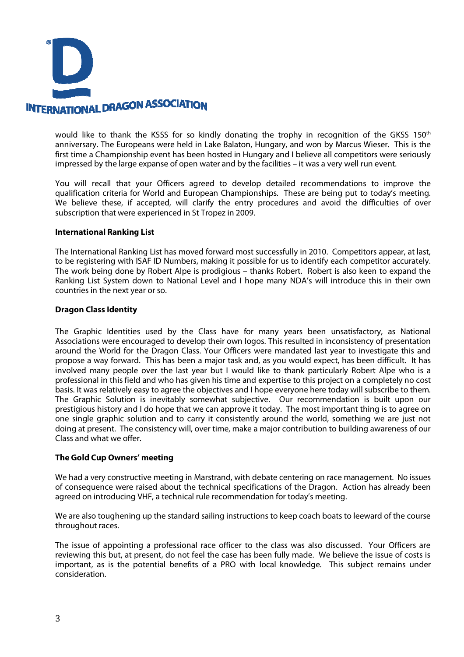

would like to thank the KSSS for so kindly donating the trophy in recognition of the GKSS 150<sup>th</sup> anniversary. The Europeans were held in Lake Balaton, Hungary, and won by Marcus Wieser. This is the first time a Championship event has been hosted in Hungary and I believe all competitors were seriously impressed by the large expanse of open water and by the facilities – it was a very well run event.

You will recall that your Officers agreed to develop detailed recommendations to improve the qualification criteria for World and European Championships. These are being put to today's meeting. We believe these, if accepted, will clarify the entry procedures and avoid the difficulties of over subscription that were experienced in St Tropez in 2009.

### **International Ranking List**

The International Ranking List has moved forward most successfully in 2010. Competitors appear, at last, to be registering with ISAF ID Numbers, making it possible for us to identify each competitor accurately. The work being done by Robert Alpe is prodigious – thanks Robert. Robert is also keen to expand the Ranking List System down to National Level and I hope many NDA's will introduce this in their own countries in the next year or so.

### **Dragon Class Identity**

The Graphic Identities used by the Class have for many years been unsatisfactory, as National Associations were encouraged to develop their own logos. This resulted in inconsistency of presentation around the World for the Dragon Class. Your Officers were mandated last year to investigate this and propose a way forward. This has been a major task and, as you would expect, has been difficult. It has involved many people over the last year but I would like to thank particularly Robert Alpe who is a professional in this field and who has given his time and expertise to this project on a completely no cost basis. It was relatively easy to agree the objectives and I hope everyone here today will subscribe to them. The Graphic Solution is inevitably somewhat subjective. Our recommendation is built upon our prestigious history and I do hope that we can approve it today. The most important thing is to agree on one single graphic solution and to carry it consistently around the world, something we are just not doing at present. The consistency will, over time, make a major contribution to building awareness of our Class and what we offer.

### **The Gold Cup Owners' meeting**

We had a very constructive meeting in Marstrand, with debate centering on race management. No issues of consequence were raised about the technical specifications of the Dragon. Action has already been agreed on introducing VHF, a technical rule recommendation for today's meeting.

We are also toughening up the standard sailing instructions to keep coach boats to leeward of the course throughout races.

The issue of appointing a professional race officer to the class was also discussed. Your Officers are reviewing this but, at present, do not feel the case has been fully made. We believe the issue of costs is important, as is the potential benefits of a PRO with local knowledge. This subject remains under consideration.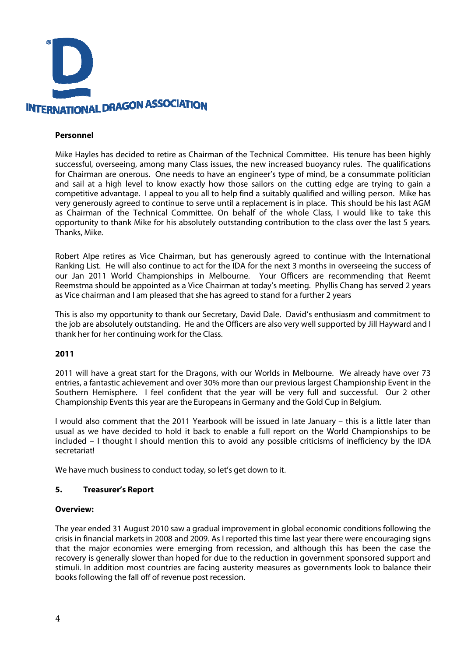

### **Personnel**

Mike Hayles has decided to retire as Chairman of the Technical Committee. His tenure has been highly successful, overseeing, among many Class issues, the new increased buoyancy rules. The qualifications for Chairman are onerous. One needs to have an engineer's type of mind, be a consummate politician and sail at a high level to know exactly how those sailors on the cutting edge are trying to gain a competitive advantage. I appeal to you all to help find a suitably qualified and willing person. Mike has very generously agreed to continue to serve until a replacement is in place. This should be his last AGM as Chairman of the Technical Committee. On behalf of the whole Class, I would like to take this opportunity to thank Mike for his absolutely outstanding contribution to the class over the last 5 years. Thanks, Mike.

Robert Alpe retires as Vice Chairman, but has generously agreed to continue with the International Ranking List. He will also continue to act for the IDA for the next 3 months in overseeing the success of our Jan 2011 World Championships in Melbourne. Your Officers are recommending that Reemt Reemstma should be appointed as a Vice Chairman at today's meeting. Phyllis Chang has served 2 years as Vice chairman and I am pleased that she has agreed to stand for a further 2 years

This is also my opportunity to thank our Secretary, David Dale. David's enthusiasm and commitment to the job are absolutely outstanding. He and the Officers are also very well supported by Jill Hayward and I thank her for her continuing work for the Class.

### **2011**

2011 will have a great start for the Dragons, with our Worlds in Melbourne. We already have over 73 entries, a fantastic achievement and over 30% more than our previous largest Championship Event in the Southern Hemisphere. I feel confident that the year will be very full and successful. Our 2 other Championship Events this year are the Europeans in Germany and the Gold Cup in Belgium.

I would also comment that the 2011 Yearbook will be issued in late January – this is a little later than usual as we have decided to hold it back to enable a full report on the World Championships to be included – I thought I should mention this to avoid any possible criticisms of inefficiency by the IDA secretariat!

We have much business to conduct today, so let's get down to it.

### **5. Treasurer's Report**

### **Overview:**

The year ended 31 August 2010 saw a gradual improvement in global economic conditions following the crisis in financial markets in 2008 and 2009. As I reported this time last year there were encouraging signs that the major economies were emerging from recession, and although this has been the case the recovery is generally slower than hoped for due to the reduction in government sponsored support and stimuli. In addition most countries are facing austerity measures as governments look to balance their books following the fall off of revenue post recession.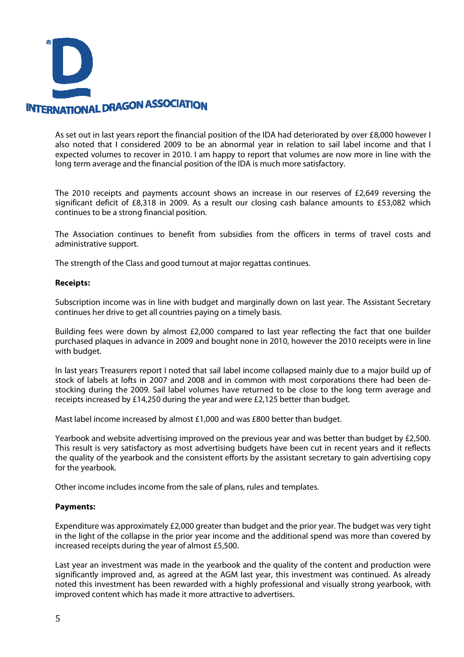

As set out in last years report the financial position of the IDA had deteriorated by over £8,000 however I also noted that I considered 2009 to be an abnormal year in relation to sail label income and that I expected volumes to recover in 2010. I am happy to report that volumes are now more in line with the long term average and the financial position of the IDA is much more satisfactory.

The 2010 receipts and payments account shows an increase in our reserves of £2,649 reversing the significant deficit of £8,318 in 2009. As a result our closing cash balance amounts to £53,082 which continues to be a strong financial position.

The Association continues to benefit from subsidies from the officers in terms of travel costs and administrative support.

The strength of the Class and good turnout at major regattas continues.

#### **Receipts:**

Subscription income was in line with budget and marginally down on last year. The Assistant Secretary continues her drive to get all countries paying on a timely basis.

Building fees were down by almost £2,000 compared to last year reflecting the fact that one builder purchased plaques in advance in 2009 and bought none in 2010, however the 2010 receipts were in line with budget.

In last years Treasurers report I noted that sail label income collapsed mainly due to a major build up of stock of labels at lofts in 2007 and 2008 and in common with most corporations there had been destocking during the 2009. Sail label volumes have returned to be close to the long term average and receipts increased by £14,250 during the year and were £2,125 better than budget.

Mast label income increased by almost £1,000 and was £800 better than budget.

Yearbook and website advertising improved on the previous year and was better than budget by £2,500. This result is very satisfactory as most advertising budgets have been cut in recent years and it reflects the quality of the yearbook and the consistent efforts by the assistant secretary to gain advertising copy for the yearbook.

Other income includes income from the sale of plans, rules and templates.

### **Payments:**

Expenditure was approximately £2,000 greater than budget and the prior year. The budget was very tight in the light of the collapse in the prior year income and the additional spend was more than covered by increased receipts during the year of almost £5,500.

Last year an investment was made in the yearbook and the quality of the content and production were significantly improved and, as agreed at the AGM last year, this investment was continued. As already noted this investment has been rewarded with a highly professional and visually strong yearbook, with improved content which has made it more attractive to advertisers.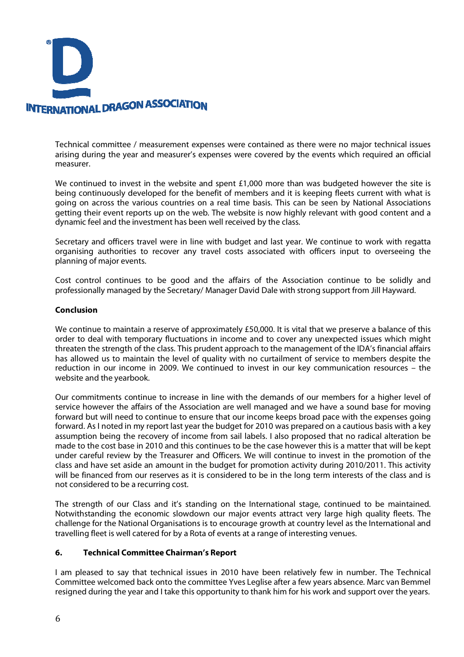

Technical committee / measurement expenses were contained as there were no major technical issues arising during the year and measurer's expenses were covered by the events which required an official measurer.

We continued to invest in the website and spent £1,000 more than was budgeted however the site is being continuously developed for the benefit of members and it is keeping fleets current with what is going on across the various countries on a real time basis. This can be seen by National Associations getting their event reports up on the web. The website is now highly relevant with good content and a dynamic feel and the investment has been well received by the class.

Secretary and officers travel were in line with budget and last year. We continue to work with regatta organising authorities to recover any travel costs associated with officers input to overseeing the planning of major events.

Cost control continues to be good and the affairs of the Association continue to be solidly and professionally managed by the Secretary/ Manager David Dale with strong support from Jill Hayward.

### **Conclusion**

We continue to maintain a reserve of approximately £50,000. It is vital that we preserve a balance of this order to deal with temporary fluctuations in income and to cover any unexpected issues which might threaten the strength of the class. This prudent approach to the management of the IDA's financial affairs has allowed us to maintain the level of quality with no curtailment of service to members despite the reduction in our income in 2009. We continued to invest in our key communication resources – the website and the yearbook.

Our commitments continue to increase in line with the demands of our members for a higher level of service however the affairs of the Association are well managed and we have a sound base for moving forward but will need to continue to ensure that our income keeps broad pace with the expenses going forward. As I noted in my report last year the budget for 2010 was prepared on a cautious basis with a key assumption being the recovery of income from sail labels. I also proposed that no radical alteration be made to the cost base in 2010 and this continues to be the case however this is a matter that will be kept under careful review by the Treasurer and Officers. We will continue to invest in the promotion of the class and have set aside an amount in the budget for promotion activity during 2010/2011. This activity will be financed from our reserves as it is considered to be in the long term interests of the class and is not considered to be a recurring cost.

The strength of our Class and it's standing on the International stage, continued to be maintained. Notwithstanding the economic slowdown our major events attract very large high quality fleets. The challenge for the National Organisations is to encourage growth at country level as the International and travelling fleet is well catered for by a Rota of events at a range of interesting venues.

### **6. Technical Committee Chairman's Report**

I am pleased to say that technical issues in 2010 have been relatively few in number. The Technical Committee welcomed back onto the committee Yves Leglise after a few years absence. Marc van Bemmel resigned during the year and I take this opportunity to thank him for his work and support over the years.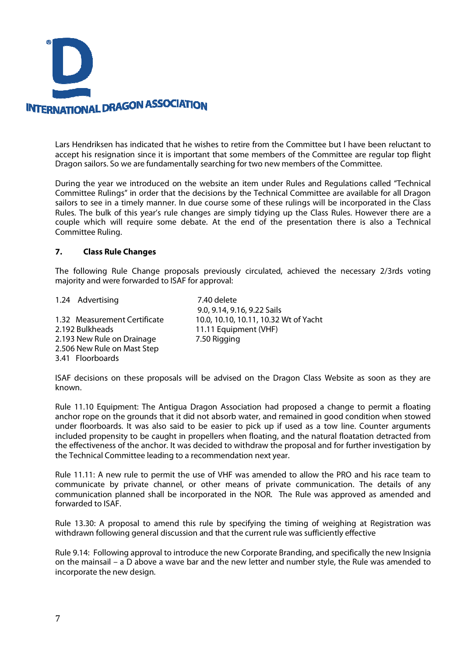

Lars Hendriksen has indicated that he wishes to retire from the Committee but I have been reluctant to accept his resignation since it is important that some members of the Committee are regular top flight Dragon sailors. So we are fundamentally searching for two new members of the Committee.

During the year we introduced on the website an item under Rules and Regulations called "Technical Committee Rulings" in order that the decisions by the Technical Committee are available for all Dragon sailors to see in a timely manner. In due course some of these rulings will be incorporated in the Class Rules. The bulk of this year's rule changes are simply tidying up the Class Rules. However there are a couple which will require some debate. At the end of the presentation there is also a Technical Committee Ruling.

### **7. Class Rule Changes**

The following Rule Change proposals previously circulated, achieved the necessary 2/3rds voting majority and were forwarded to ISAF for approval:

1.24 Advertising 7.40 delete

2.192 Bulkheads 11.11 Equipment (VHF) 2.193 New Rule on Drainage 7.50 Rigging 2.506 New Rule on Mast Step 3.41 Floorboards

 9.0, 9.14, 9.16, 9.22 Sails 1.32 Measurement Certificate 10.0, 10.10, 10.11, 10.32 Wt of Yacht

ISAF decisions on these proposals will be advised on the Dragon Class Website as soon as they are known.

Rule 11.10 Equipment: The Antigua Dragon Association had proposed a change to permit a floating anchor rope on the grounds that it did not absorb water, and remained in good condition when stowed under floorboards. It was also said to be easier to pick up if used as a tow line. Counter arguments included propensity to be caught in propellers when floating, and the natural floatation detracted from the effectiveness of the anchor. It was decided to withdraw the proposal and for further investigation by the Technical Committee leading to a recommendation next year.

Rule 11.11: A new rule to permit the use of VHF was amended to allow the PRO and his race team to communicate by private channel, or other means of private communication. The details of any communication planned shall be incorporated in the NOR. The Rule was approved as amended and forwarded to ISAF.

Rule 13.30: A proposal to amend this rule by specifying the timing of weighing at Registration was withdrawn following general discussion and that the current rule was sufficiently effective

Rule 9.14: Following approval to introduce the new Corporate Branding, and specifically the new Insignia on the mainsail – a D above a wave bar and the new letter and number style, the Rule was amended to incorporate the new design.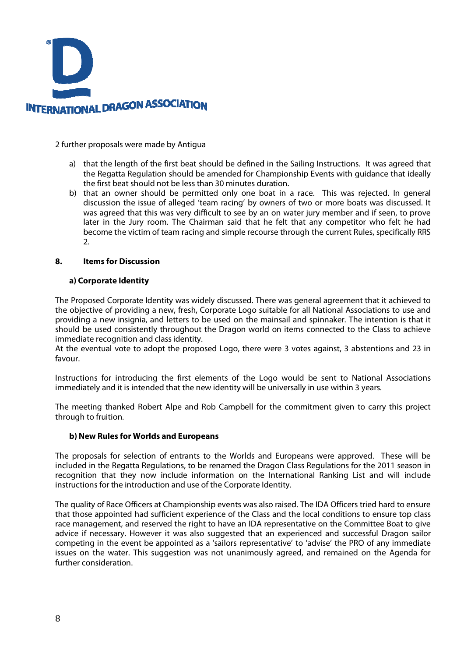

2 further proposals were made by Antigua

- a) that the length of the first beat should be defined in the Sailing Instructions. It was agreed that the Regatta Regulation should be amended for Championship Events with guidance that ideally the first beat should not be less than 30 minutes duration.
- b) that an owner should be permitted only one boat in a race. This was rejected. In general discussion the issue of alleged 'team racing' by owners of two or more boats was discussed. It was agreed that this was very difficult to see by an on water jury member and if seen, to prove later in the Jury room. The Chairman said that he felt that any competitor who felt he had become the victim of team racing and simple recourse through the current Rules, specifically RRS 2.

### **8. Items for Discussion**

### **a) Corporate Identity**

The Proposed Corporate Identity was widely discussed. There was general agreement that it achieved to the objective of providing a new, fresh, Corporate Logo suitable for all National Associations to use and providing a new insignia, and letters to be used on the mainsail and spinnaker. The intention is that it should be used consistently throughout the Dragon world on items connected to the Class to achieve immediate recognition and class identity.

At the eventual vote to adopt the proposed Logo, there were 3 votes against, 3 abstentions and 23 in favour.

Instructions for introducing the first elements of the Logo would be sent to National Associations immediately and it is intended that the new identity will be universally in use within 3 years.

The meeting thanked Robert Alpe and Rob Campbell for the commitment given to carry this project through to fruition.

### **b) New Rules for Worlds and Europeans**

The proposals for selection of entrants to the Worlds and Europeans were approved. These will be included in the Regatta Regulations, to be renamed the Dragon Class Regulations for the 2011 season in recognition that they now include information on the International Ranking List and will include instructions for the introduction and use of the Corporate Identity.

The quality of Race Officers at Championship events was also raised. The IDA Officers tried hard to ensure that those appointed had sufficient experience of the Class and the local conditions to ensure top class race management, and reserved the right to have an IDA representative on the Committee Boat to give advice if necessary. However it was also suggested that an experienced and successful Dragon sailor competing in the event be appointed as a 'sailors representative' to 'advise' the PRO of any immediate issues on the water. This suggestion was not unanimously agreed, and remained on the Agenda for further consideration.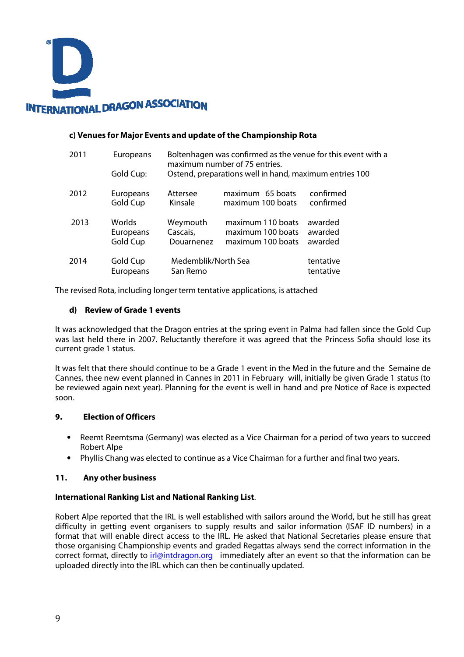

### **c) Venues for Major Events and update of the Championship Rota**

| 2011 |      | Europeans                       | Boltenhagen was confirmed as the venue for this event with a<br>maximum number of 75 entries.<br>Ostend, preparations well in hand, maximum entries 100 |                                                             |                               |
|------|------|---------------------------------|---------------------------------------------------------------------------------------------------------------------------------------------------------|-------------------------------------------------------------|-------------------------------|
|      |      | Gold Cup:                       |                                                                                                                                                         |                                                             |                               |
|      | 2012 | Europeans<br>Gold Cup           | Attersee<br>Kinsale                                                                                                                                     | maximum 65 boats<br>maximum 100 boats                       | confirmed<br>confirmed        |
|      | 2013 | Worlds<br>Europeans<br>Gold Cup | Weymouth<br>Cascais,<br>Douarnenez                                                                                                                      | maximum 110 boats<br>maximum 100 boats<br>maximum 100 boats | awarded<br>awarded<br>awarded |
|      | 2014 | Gold Cup<br>Europeans           | Medemblik/North Sea<br>San Remo                                                                                                                         |                                                             | tentative<br>tentative        |

The revised Rota, including longer term tentative applications, is attached

## **d) Review of Grade 1 events**

It was acknowledged that the Dragon entries at the spring event in Palma had fallen since the Gold Cup was last held there in 2007. Reluctantly therefore it was agreed that the Princess Sofia should lose its current grade 1 status.

It was felt that there should continue to be a Grade 1 event in the Med in the future and the Semaine de Cannes, thee new event planned in Cannes in 2011 in February will, initially be given Grade 1 status (to be reviewed again next year). Planning for the event is well in hand and pre Notice of Race is expected soon.

# **9. Election of Officers**

- Reemt Reemtsma (Germany) was elected as a Vice Chairman for a period of two years to succeed Robert Alpe
- Phyllis Chang was elected to continue as a Vice Chairman for a further and final two years.

### **11. Any other business**

### **International Ranking List and National Ranking List**.

Robert Alpe reported that the IRL is well established with sailors around the World, but he still has great difficulty in getting event organisers to supply results and sailor information (ISAF ID numbers) in a format that will enable direct access to the IRL. He asked that National Secretaries please ensure that those organising Championship events and graded Regattas always send the correct information in the correct format, directly to irl@intdragon.org immediately after an event so that the information can be uploaded directly into the IRL which can then be continually updated.